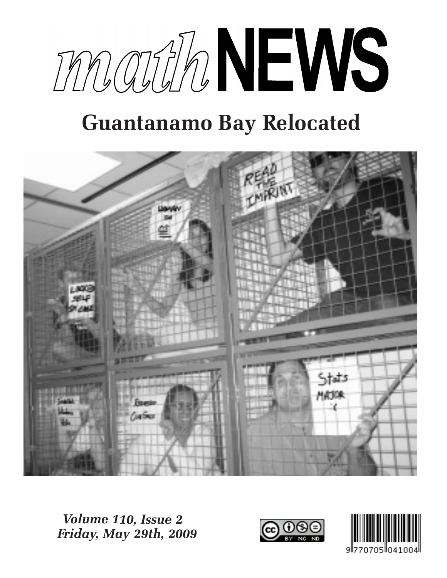

# **Guantanamo Bay Relocated**



*Volume 110, Issue 2 Friday, May 29th, 2009*



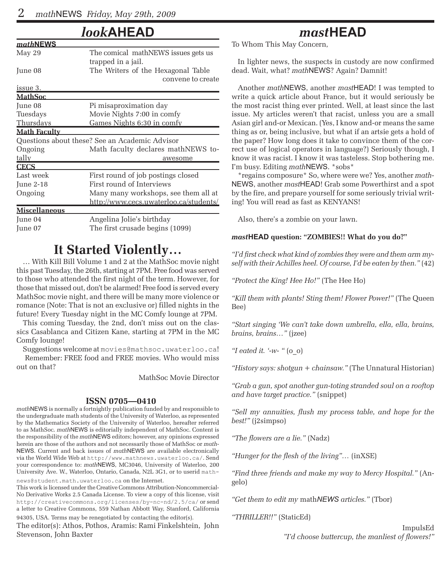### *look***AHEAD**

| mathNEWS             |                                                |  |  |  |  |
|----------------------|------------------------------------------------|--|--|--|--|
| May 29               | The comical mathNEWS issues gets us            |  |  |  |  |
|                      | trapped in a jail.                             |  |  |  |  |
| June 08              | The Writers of the Hexagonal Table             |  |  |  |  |
|                      | convene to create                              |  |  |  |  |
| issue 3.             |                                                |  |  |  |  |
| <u> MathSoc</u>      |                                                |  |  |  |  |
| June 08              | Pi misaproximation day                         |  |  |  |  |
| Tuesdays             | Movie Nights 7:00 in comfy                     |  |  |  |  |
| Thursdays            | Games Nights 6:30 in comfy                     |  |  |  |  |
| <u> Math Faculty</u> |                                                |  |  |  |  |
|                      | Questions about these? See an Academic Advisor |  |  |  |  |
| Ongoing              | Math faculty declares mathNEWS to-             |  |  |  |  |
| tally                | awesome                                        |  |  |  |  |
| <b>CECS</b>          |                                                |  |  |  |  |
| Last week            | First round of job postings closed             |  |  |  |  |
| June 2-18            | First round of Interviews                      |  |  |  |  |
| Ongoing              | Many many workshops, see them all at           |  |  |  |  |
|                      | http://www.cecs.uwaterloo.ca/students/         |  |  |  |  |
| <b>Miscellaneous</b> |                                                |  |  |  |  |
| June 04              | Angelina Jolie's birthday                      |  |  |  |  |
| June 07              | The first crusade begins (1099)                |  |  |  |  |
|                      |                                                |  |  |  |  |

### **It Started Violently…**

… With Kill Bill Volume 1 and 2 at the MathSoc movie night this past Tuesday, the 26th, starting at 7PM. Free food was served to those who attended the first night of the term. However, for those that missed out, don't be alarmed! Free food is served every MathSoc movie night, and there will be many more violence or romance (Note: That is not an exclusive or) filled nights in the future! Every Tuesday night in the MC Comfy lounge at 7PM.

This coming Tuesday, the 2nd, don't miss out on the classics Casablanca and Citizen Kane, starting at 7PM in the MC Comfy lounge!

Suggestions welcome at movies@mathsoc.uwaterloo.ca! Remember: FREE food and FREE movies. Who would miss out on that?

MathSoc Movie Director

#### **ISSN 0705—0410**

*math*NEWS is normally a fortnightly publication funded by and responsible to the undergraduate math students of the University of Waterloo, as represented by the Mathematics Society of the University of Waterloo, hereafter referred to as MathSoc. *math*NEWS is editorially independent of MathSoc. Content is the responsibility of the *math*NEWS editors; however, any opinions expressed herein are those of the authors and not necessarily those of MathSoc or *math-*NEWS. Current and back issues of *math*NEWS are available electronically via the World Wide Web at http://www.mathnews.uwaterloo.ca/. Send your correspondence to: *math*NEWS, MC3046, University of Waterloo, 200 University Ave. W., Waterloo, Ontario, Canada, N2L 3G1, or to userid math-

news@student.math.uwaterloo.ca on the Internet. This work is licensed under the Creative Commons Attribution-Noncommercial-No Derivative Works 2.5 Canada License. To view a copy of this license, visit http://creativecommons.org/licenses/by-nc-nd/2.5/ca/ or send a letter to Creative Commons, 559 Nathan Abbott Way, Stanford, California 94305, USA. Terms may be renegotiated by contacting the editor(s).

The editor(s): Athos, Pothos, Aramis: Rami Finkelshtein, John Stevenson, John Baxter

### *mast***HEAD**

To Whom This May Concern,

In lighter news, the suspects in custody are now confirmed dead. Wait, what? *math*NEWS? Again? Damnit!

Another *math*NEWS, another *mast*HEAD! I was tempted to write a quick article about France, but it would seriously be the most racist thing ever printed. Well, at least since the last issue. My articles weren't that racist, unless you are a small Asian girl and-or Mexican. (Yes, I know and-or means the same thing as or, being inclusive, but what if an artsie gets a hold of the paper? How long does it take to convince them of the correct use of logical operators in language?) Seriously though, I know it was racist. I know it was tasteless. Stop bothering me. I'm busy. Editing *math*NEWS. \*sobs\*

\*regains composure\* So, where were we? Yes, another *math-*NEWS, another *mast*HEAD! Grab some Powerthirst and a spot by the fire, and prepare yourself for some seriously trivial writing! You will read as fast as KENYANS!

Also, there's a zombie on your lawn.

#### *mast***HEAD question: "ZOMBIES!! What do you do?"**

*"I'd first check what kind of zombies they were and them arm myself with their Achilles heel. Of course, I'd be eaten by then."* (42)

*"Protect the King! Hee Ho!"* (The Hee Ho)

*"Kill them with plants! Sting them! Flower Power!"* (The Queen Bee)

*"Start singing 'We can't take down umbrella, ella, ella, brains, brains, brains…"* (jzee)

*"I eated it. '-w- "* (o\_o)

*"History says: shotgun + chainsaw."* (The Unnatural Historian)

*"Grab a gun, spot another gun-toting stranded soul on a rooftop and have target practice."* (snippet)

*"Sell my annuities, flush my process table, and hope for the best!"* (j2simpso)

*"The flowers are a lie."* (Nadz)

*"Hunger for the flesh of the living"…* (inXSE)

*"Find three friends and make my way to Mercy Hospital."* (Angelo)

*"Get them to edit my* math*NEWS articles."* (Tbor)

*"THRILLER!!"* (StaticEd)

ImpulsEd *"I'd choose buttercup, the manliest of flowers!"*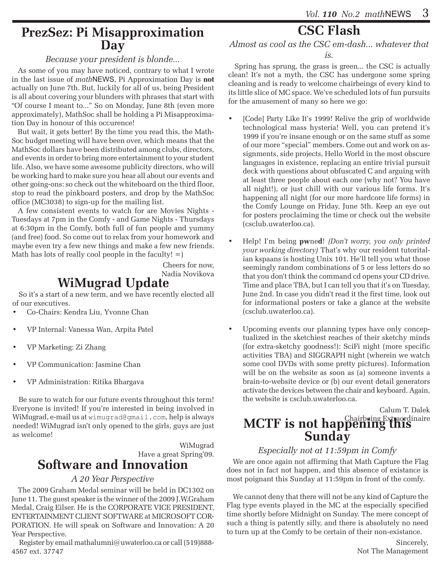### **PrezSez: Pi Misapproximation Day**

#### *Because your president is blonde...*

As some of you may have noticed, contrary to what I wrote in the last issue of *math*NEWS, Pi Approximation Day is **not** actually on June 7th. But, luckily for all of us, being President is all about covering your blunders with phrases that start with "Of course I meant to..." So on Monday, June 8th (even more approximately), MathSoc shall be holding a Pi Misapproximation Day in honour of this occurence!

But wait, it gets better! By the time you read this, the Math-Soc budget meeting will have been over, which means that the MathSoc dollars have been distributed among clubs, directors, and events in order to bring more entertainment to your student life. Also, we have some awesome publicity directors, who will be working hard to make sure you hear all about our events and other going-ons: so check out the whiteboard on the third floor, stop to read the pinkboard posters, and drop by the MathSoc office (MC3038) to sign-up for the mailing list.

A few consistent events to watch for are Movies Nights - Tuesdays at 7pm in the Comfy - and Game Nights - Thursdays at 6:30pm in the Comfy, both full of fun people and yummy (and free) food. So come out to relax from your homework and maybe even try a few new things and make a few new friends. Math has lots of really cool people in the faculty!  $=$ )

> Cheers for now, Nadia Novikova

### **WiMugrad Update**

So it's a start of a new term, and we have recently elected all of our executives.

- Co-Chairs: Kendra Liu, Yvonne Chan
- VP Internal: Vanessa Wan, Arpita Patel
- VP Marketing: Zi Zhang
- VP Communication: Jasmine Chan
- VP Administration: Ritika Bhargava

Be sure to watch for our future events throughout this term! Everyone is invited! If you're interested in being involved in WiMugrad, e-mail us at wimugrad@gmail.com, help is always needed! WiMugrad isn't only opened to the girls, guys are just as welcome!

#### WiMugrad Have a great Spring'09. **Software and Innovation**

### *A 20 Year Perspective*

The 2009 Graham Medal seminar will be held in DC1302 on June 11. The guest speaker is the winner of the 2009 J.W.Graham Medal, Craig Eilser. He is the CORPORATE VICE PRESIDENT, ENTERTAINMENT CLIENT SOFTWARE at MICROSOFT COR-PORATION. He will speak on Software and Innovation: A 20 Year Perspective.

 Register by email mathalumni@uwaterloo.ca or call (519)888- 4567 ext. 37747

### **CSC Flash**

*Almost as cool as the CSC em-dash... whatever that is.*

Spring has sprung, the grass is green... the CSC is actually clean! It's not a myth, the CSC has undergone some spring cleaning and is ready to welcome chairbeings of every kind to its little slice of MC space. We've scheduled lots of fun pursuits for the amusement of many so here we go:

- [Code] Party Like It's 1999! Relive the grip of worldwide technological mass hysteria! Well, you can pretend it's 1999 if you're insane enough or on the same stuff as some of our more "special" members. Come out and work on assignments, side projects, Hello World in the most obscure languages in existence, replacing an entire trivial pursuit deck with questions about obfuscated C and arguing with at least three people about each one (why not? You have all night!), or just chill with our various life forms. It's happening all night (for our more hardcore life forms) in the Comfy Lounge on Friday, June 5th. Keep an eye out for posters proclaiming the time or check out the website (csclub.uwaterloo.ca).
- Help! I'm being **pwned**! *(Don't worry, you only printed your working directory)* That's why our resident tutoritalian kspaans is hosting Unix 101. He'll tell you what those seemingly random combinations of 5 or less letters do so that you don't think the command cd opens your CD drive. Time and place TBA, but I can tell you that it's on Tuesday, June 2nd. In case you didn't read it the first time, look out for informational posters or take a glance at the website (csclub.uwaterloo.ca).
- • Upcoming events our planning types have only conceptualized in the sketchiest reaches of their sketchy minds (for extra-sketchy goodness!): SciFi night (more specific activities TBA) and SIGGRAPH night (wherein we watch some cool DVDs with some pretty pictures). Information will be on the website as soon as (a) someone invents a brain-to-website device or (b) our event detail generators activate the devices between the chair and keyboard. Again, the website is csclub.uwaterloo.ca.

## Calum T. Dalek **MCTF is not happening Expact dinaire**<br>**Sunday**

### *Especially not at 11:59pm in Comfy*

We are once again not affirming that Math Capture the Flag does not in fact not happen, and this absence of existance is most poignant this Sunday at 11:59pm in front of the comfy.

We cannot deny that there will not be any kind of Capture the Flag type events played in the MC at the especially specified time shortly before Midnight on Sunday. The mere concept of such a thing is patently silly, and there is absolutely no need to turn up at the Comfy to be certain of their non-existance.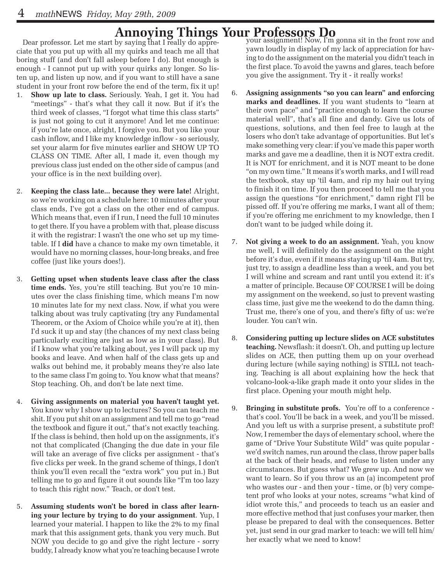# **Annoying Things Your Professors Do** Dear professor. Let me start by saying that I really do appre-<br>Vour assignment! Now, I'm

ciate that you put up with all my quirks and teach me all that boring stuff (and don't fall asleep before I do). But enough is enough - I cannot put up with your quirks any longer. So listen up, and listen up now, and if you want to still have a sane student in your front row before the end of the term, fix it up!

- 1. **Show up late to class.** Seriously. Yeah, I get it. You had "meetings" - that's what they call it now. But if it's the third week of classes, "I forgot what time this class starts" is just not going to cut it anymore! And let me continue: if you're late once, alright, I forgive you. But you like your cash inflow, and I like my knowledge inflow - so seriously, set your alarm for five minutes earlier and SHOW UP TO CLASS ON TIME. After all, I made it, even though my previous class just ended on the other side of campus (and your office is in the next building over).
- 2. **Keeping the class late... because they were late!** Alright, so we're working on a schedule here: 10 minutes after your class ends, I've got a class on the other end of campus. Which means that, even if I run, I need the full 10 minutes to get there. If you have a problem with that, please discuss it with the registrar: I wasn't the one who set up my timetable. If I **did** have a chance to make my own timetable, it would have no morning classes, hour-long breaks, and free coffee (just like yours does!).
- 3. **Getting upset when students leave class after the class time ends.** Yes, you're still teaching. But you're 10 minutes over the class finishing time, which means I'm now 10 minutes late for my next class. Now, if what you were talking about was truly captivating (try any Fundamental Theorem, or the Axiom of Choice while you're at it), then I'd suck it up and stay (the chances of my next class being particularly exciting are just as low as in your class). But if I know what you're talking about, yes I will pack up my books and leave. And when half of the class gets up and walks out behind me, it probably means they're also late to the same class I'm going to. You know what that means? Stop teaching. Oh, and don't be late next time.
- 4. **Giving assignments on material you haven't taught yet.** You know why I show up to lectures? So you can teach me shit. If you put shit on an assignment and tell me to go "read the textbook and figure it out," that's not exactly teaching. If the class is behind, then hold up on the assignments, it's not that complicated (Changing the due date in your file will take an average of five clicks per assignment - that's five clicks per week. In the grand scheme of things, I don't think you'll even recall the "extra work" you put in.) But telling me to go and figure it out sounds like "I'm too lazy to teach this right now." Teach, or don't test.
- 5. **Assuming students won't be bored in class after learning your lecture by trying to do your assignment**. Yup, I learned your material. I happen to like the 2% to my final mark that this assignment gets, thank you very much. But NOW you decide to go and give the right lecture - sorry buddy, I already know what you're teaching because I wrote

your assignment! Now, I'm gonna sit in the front row and yawn loudly in display of my lack of appreciation for having to do the assignment on the material you didn't teach in the first place. To avoid the yawns and glares, teach before you give the assignment. Try it - it really works!

- 6. **Assigning assignments "so you can learn" and enforcing marks and deadlines.** If you want students to "learn at their own pace" and "practice enough to learn the course material well", that's all fine and dandy. Give us lots of questions, solutions, and then feel free to laugh at the losers who don't take advantage of opportunities. But let's make something very clear: if you've made this paper worth marks and gave me a deadline, then it is NOT extra credit. It is NOT for enrichment, and it is NOT meant to be done "on my own time." It means it's worth marks, and I will read the textbook, stay up 'til 4am, and rip my hair out trying to finish it on time. If you then proceed to tell me that you assign the questions "for enrichment," damn right I'll be pissed off. If you're offering me marks, I want all of them; if you're offering me enrichment to my knowledge, then I don't want to be judged while doing it.
- 7. **Not giving a week to do an assignment.** Yeah, you know me well, I will definitely do the assignment on the night before it's due, even if it means staying up 'til 4am. But try, just try, to assign a deadline less than a week, and you bet I will whine and scream and rant until you extend it: it's a matter of principle. Because OF COURSE I will be doing my assignment on the weekend, so just to prevent wasting class time, just give me the weekend to do the damn thing. Trust me, there's one of you, and there's fifty of us: we're louder. You can't win.
- 8. **Considering putting up lecture slides on ACE substitutes teaching.** Newsflash: it doesn't. Oh, and putting up lecture slides on ACE, then putting them up on your overhead during lecture (while saying nothing) is STILL not teaching. Teaching is all about explaining how the heck that volcano-look-a-like graph made it onto your slides in the first place. Opening your mouth might help.
- 9. **Bringing in substitute profs.** You're off to a conference that's cool. You'll be back in a week, and you'll be missed. And you left us with a surprise present, a substitute prof! Now, I remember the days of elementary school, where the game of "Drive Your Substitute Wild" was quite popular we'd switch names, run around the class, throw paper balls at the back of their heads, and refuse to listen under any circumstances. But guess what? We grew up. And now we want to learn. So if you throw us an (a) incompetent prof who wastes our - and then your - time, or (b) very competent prof who looks at your notes, screams "what kind of idiot wrote this," and proceeds to teach us an easier and more effective method that just confuses your marker, then please be prepared to deal with the consequences. Better yet, just send in our grad marker to teach: we will tell him/ her exactly what we need to know!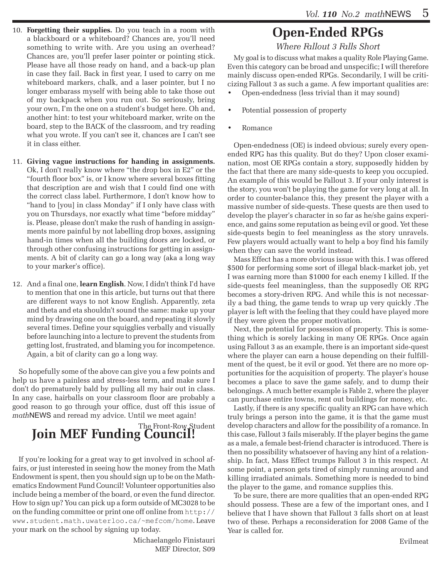- 10. **Forgetting their supplies.** Do you teach in a room with a blackboard or a whiteboard? Chances are, you'll need something to write with. Are you using an overhead? Chances are, you'll prefer laser pointer or pointing stick. Please have all those ready on hand, and a back-up plan in case they fail. Back in first year, I used to carry on me whiteboard markers, chalk, and a laser pointer, but I no longer embarass myself with being able to take those out of my backpack when you run out. So seriously, bring your own, I'm the one on a student's budget here. Oh and, another hint: to test your whiteboard marker, write on the board, step to the BACK of the classroom, and try reading what you wrote. If you can't see it, chances are I can't see it in class either.
- 11. **Giving vague instructions for handing in assignments.** Ok, I don't really know where "the drop box in E2" or the "fourth floor box" is, or I know where several boxes fitting that description are and wish that I could find one with the correct class label. Furthermore, I don't know how to "hand to [you] in class Monday" if I only have class with you on Thursdays, nor exactly what time "before midday" is. Please, please don't make the rush of handing in assignments more painful by not labelling drop boxes, assigning hand-in times when all the building doors are locked, or through other confusing instructions for getting in assignments. A bit of clarity can go a long way (aka a long way to your marker's office).
- 12. And a final one, **learn English**. Now, I didn't think I'd have to mention that one in this article, but turns out that there are different ways to not know English. Apparently, zeta and theta and eta shouldn't sound the same: make up your mind by drawing one on the board, and repeating it slowly several times. Define your squigglies verbally and visually before launching into a lecture to prevent the students from getting lost, frustrated, and blaming you for incompetence. Again, a bit of clarity can go a long way.

So hopefully some of the above can give you a few points and help us have a painless and stress-less term, and make sure I don't do prematurely bald by pulling all my hair out in class. In any case, hairballs on your classroom floor are probably a good reason to go through your office, dust off this issue of *math*NEWS and reread my advice. Until we meet again!

# The Front-Row Student **Join MEF Funding Council!**

If you're looking for a great way to get involved in school affairs, or just interested in seeing how the money from the Math Endowment is spent, then you should sign up to be on the Mathematics Endowment Fund Council! Volunteer opportunities also include being a member of the board, or even the fund director. How to sign up? You can pick up a form outside of MC3028 to be on the funding committee or print one off online from http:// www.student.math.uwaterloo.ca/~mefcom/home. Leave your mark on the school by signing up today.

> Michaelangelo Finistauri MEF Director, S09

### **Open-Ended RPGs**

*Where Fallout 3 Falls Short*

My goal is to discuss what makes a quality Role Playing Game. Even this category can be broad and unspecific; I will therefore mainly discuss open-ended RPGs. Secondarily, I will be criticizing Fallout 3 as such a game. A few important qualities are:

- Open-endedness (less trivial than it may sound)
- Potential possession of property
- • Romance

Open-endedness (OE) is indeed obvious; surely every openended RPG has this quality. But do they? Upon closer examination, most OE RPGs contain a story, supposedly hidden by the fact that there are many side-quests to keep you occupied. An example of this would be Fallout 3. If your only interest is the story, you won't be playing the game for very long at all. In order to counter-balance this, they present the player with a massive number of side-quests. These quests are then used to develop the player's character in so far as he/she gains experience, and gains some reputation as being evil or good. Yet these side-quests begin to feel meaningless as the story unravels. Few players would actually want to help a boy find his family when they can save the world instead.

Mass Effect has a more obvious issue with this. I was offered \$500 for performing some sort of illegal black-market job, yet I was earning more than \$1000 for each enemy I killed. If the side-quests feel meaningless, than the supposedly OE RPG becomes a story-driven RPG. And while this is not necessarily a bad thing, the game tends to wrap up very quickly .The player is left with the feeling that they could have played more if they were given the proper motivation.

Next, the potential for possession of property. This is something which is sorely lacking in many OE RPGs. Once again using Fallout 3 as an example, there is an important side-quest where the player can earn a house depending on their fulfillment of the quest, be it evil or good. Yet there are no more opportunities for the acquisition of property. The player's house becomes a place to save the game safely, and to dump their belongings. A much better example is Fable 2, where the player can purchase entire towns, rent out buildings for money, etc.

Lastly, if there is any specific quality an RPG can have which truly brings a person into the game, it is that the game must develop characters and allow for the possibility of a romance. In this case, Fallout 3 fails miserably. If the player begins the game as a male, a female best-friend character is introduced. There is then no possibility whatsoever of having any hint of a relationship. In fact, Mass Effect trumps Fallout 3 in this respect. At some point, a person gets tired of simply running around and killing irradiated animals. Something more is needed to bind the player to the game, and romance supplies this.

To be sure, there are more qualities that an open-ended RPG should possess. These are a few of the important ones, and I believe that I have shown that Fallout 3 falls short on at least two of these. Perhaps a reconsideration for 2008 Game of the Year is called for.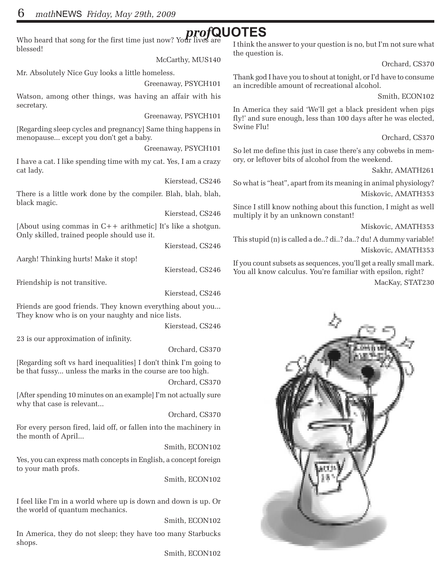Who heard that song for the first time just now? Your lives are  $\bm{proj}\mathbf{QUOTS}$ blessed!

McCarthy, MUS140

Mr. Absolutely Nice Guy looks a little homeless.

Greenaway, PSYCH101

Watson, among other things, was having an affair with his secretary.

Greenaway, PSYCH101

[Regarding sleep cycles and pregnancy] Same thing happens in menopause... except you don't get a baby.

Greenaway, PSYCH101

I have a cat. I like spending time with my cat. Yes, I am a crazy cat lady.

Kierstead, CS246

There is a little work done by the compiler. Blah, blah, blah, black magic.

Kierstead, CS246

[About using commas in C++ arithmetic] It's like a shotgun. Only skilled, trained people should use it.

Kierstead, CS246

Aargh! Thinking hurts! Make it stop!

Kierstead, CS246

Friendship is not transitive.

Kierstead, CS246

Friends are good friends. They known everything about you... They know who is on your naughty and nice lists.

Kierstead, CS246

23 is our approximation of infinity.

Orchard, CS370

[Regarding soft vs hard inequalities] I don't think I'm going to be that fussy... unless the marks in the course are too high.

Orchard, CS370

[After spending 10 minutes on an example] I'm not actually sure why that case is relevant...

Orchard, CS370

For every person fired, laid off, or fallen into the machinery in the month of April...

Smith, ECON102

Yes, you can express math concepts in English, a concept foreign to your math profs.

Smith, ECON102

I feel like I'm in a world where up is down and down is up. Or the world of quantum mechanics.

Smith, ECON102

In America, they do not sleep; they have too many Starbucks shops.

Smith, ECON102

I think the answer to your question is no, but I'm not sure what the question is.

Orchard, CS370

Thank god I have you to shout at tonight, or I'd have to consume an incredible amount of recreational alcohol.

Smith, ECON102

In America they said 'We'll get a black president when pigs fly!' and sure enough, less than 100 days after he was elected, Swine Flu!

Orchard, CS370

So let me define this just in case there's any cobwebs in memory, or leftover bits of alcohol from the weekend.

Sakhr, AMATH261

So what is "heat", apart from its meaning in animal physiology? Miskovic, AMATH353

Since I still know nothing about this function, I might as well multiply it by an unknown constant!

Miskovic, AMATH353

This stupid (n) is called a de..? di..? da..? du! A dummy variable! Miskovic, AMATH353

If you count subsets as sequences, you'll get a really small mark. You all know calculus. You're familiar with epsilon, right?

MacKay, STAT230

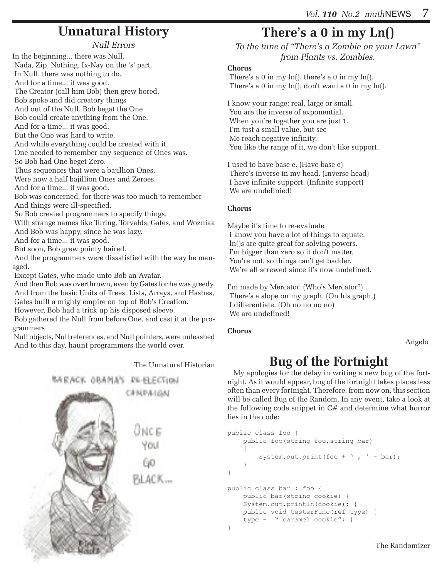### **Unnatural History**

*Null Errors*

In the beginning... there was Null. Nada, Zip, Nothing, Ix-Nay on the 's' part. In Null, there was nothing to do. And for a time... it was good. The Creator (call him Bob) then grew bored. Bob spoke and did creatory things And out of the Null, Bob begat the One Bob could create anything from the One. And for a time... it was good. But the One was hard to write. And while everything could be created with it, One needed to remember any sequence of Ones was. So Bob had One beget Zero. Thus sequences that were a bajillion Ones, Were now a half bajillion Ones and Zeroes. And for a time... it was good. Bob was concerned, for there was too much to remember And things were ill-specified. So Bob created programmers to specify things, With strange names like Turing, Torvalds, Gates, and Wozniak And Bob was happy, since he was lazy. And for a time... it was good. But soon, Bob grew pointy haired. And the programmers were dissatisfied with the way he managed. Except Gates, who made unto Bob an Avatar.

 And then Bob was overthrown, even by Gates for he was greedy. And from the basic Units of Trees, Lists, Arrays, and Hashes, Gates built a mighty empire on top of Bob's Creation.

However, Bob had a trick up his disposed sleeve.

 Bob gathered the Null from before One, and cast it at the programmers

 Null objects, Null references, and Null pointers, were unleashed And to this day, haunt programmers the world over.

The Unnatural Historian



### **There's a 0 in my Ln()**

*To the tune of "There's a Zombie on your Lawn" from Plants vs. Zombies.*

#### **Chorus**

There's a 0 in my  $\ln($ , there's a 0 in my  $\ln($ ). There's a 0 in my  $ln($ ), don't want a 0 in my  $ln($ ).

I know your range: real, large or small. You are the inverse of exponential. When you're together you are just 1. I'm just a small value, but see Me reach negative infinity. You like the range of it, we don't like support.

I used to have base e. (Have base e) There's inverse in my head. (Inverse head) I have infinite support. (Infinite support) We are undefinied!

#### **Chorus**

Maybe it's time to re-evaluate I know you have a lot of things to equate. ln()s are quite great for solving powers. I'm bigger than zero so it don't matter, You're not, so things can't get badder. We're all screwed since it's now undefined.

I'm made by Mercator. (Who's Mercator?) There's a slope on my graph. (On his graph.) I differentiate. (Oh no no no no) We are undefined!

#### **Chorus**

Angelo

### **Bug of the Fortnight**

My apologies for the delay in writing a new bug of the fortnight. As it would appear, bug of the fortnight takes places less often than every fortnight. Therefore, from now on, this section will be called Bug of the Random. In any event, take a look at the following code snippet in C# and determine what horror lies in the code:

```
public class foo {
      public foo(string foo,string bar)
\left\{ \begin{array}{c} \end{array} \right.System.out.print(foo + \prime, \prime + bar);
 }
}
public class bar : foo { 
      public bar(string cookie) { 
     System.out.println(cookie); }
      public void testerFunc(ref type) { 
     type += " caramel cookie"; }
}
```
The Randomizer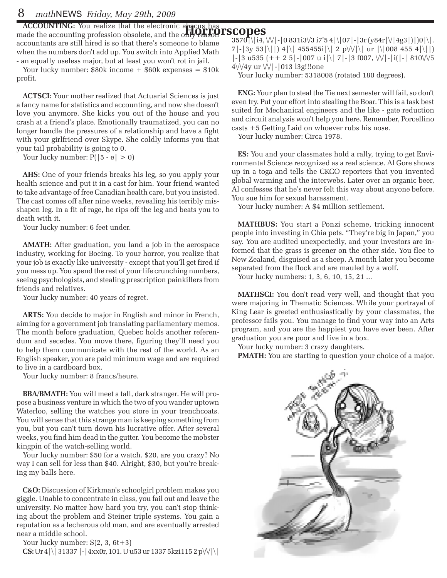**ACCOUNTING:** You realize that the electronic abacus has made the accounting profession obsolete, and the only **Peason PSCOPES** accountants are still hired is so that there's someone to blame when the numbers don't add up. You switch into Applied Math - an equally useless major, but at least you won't rot in jail.

Your lucky number:  $$80k$  income  $+$   $$60k$  expenses  $=$   $$10k$ profit.

**ACTSCI:** Your mother realized that Actuarial Sciences is just a fancy name for statistics and accounting, and now she doesn't love you anymore. She kicks you out of the house and you crash at a friend's place. Emotionally traumatized, you can no longer handle the pressures of a relationship and have a fight with your girlfriend over Skype. She coldly informs you that your tail probability is going to 0.

Your lucky number:  $P(|5 - e| > 0)$ 

**AHS:** One of your friends breaks his leg, so you apply your health science and put it in a cast for him. Your friend wanted to take advantage of free Canadian health care, but you insisted. The cast comes off after nine weeks, revealing his terribly misshapen leg. In a fit of rage, he rips off the leg and beats you to death with it.

Your lucky number: 6 feet under.

**AMATH:** After graduation, you land a job in the aerospace industry, working for Boeing. To your horror, you realize that your job is exactly like university - except that you'll get fired if you mess up. You spend the rest of your life crunching numbers, seeing psychologists, and stealing prescription painkillers from friends and relatives.

Your lucky number: 40 years of regret.

**ARTS:** You decide to major in English and minor in French, aiming for a government job translating parliamentary memos. The month before graduation, Quebec holds another referendum and secedes. You move there, figuring they'll need you to help them communicate with the rest of the world. As an English speaker, you are paid minimum wage and are required to live in a cardboard box.

Your lucky number: 8 francs/heure.

**BBA/BMATH:** You will meet a tall, dark stranger. He will propose a business venture in which the two of you wander uptown Waterloo, selling the watches you store in your trenchcoats. You will sense that this strange man is keeping something from you, but you can't turn down his lucrative offer. After several weeks, you find him dead in the gutter. You become the mobster kingpin of the watch-selling world.

Your lucky number: \$50 for a watch. \$20, are you crazy? No way I can sell for less than \$40. Alright, \$30, but you're breaking my balls here.

**C&O:** Discussion of Kirkman's schoolgirl problem makes you giggle. Unable to concentrate in class, you fail out and leave the university. No matter how hard you try, you can't stop thinking about the problem and Steiner triple systems. You gain a reputation as a lecherous old man, and are eventually arrested near a middle school.

Your lucky number:  $S(2, 3, 6t+3)$ **CS:** Ur 4|\| 31337 |-|4xx0r, 101. U u53 ur 1337 5kzi115 2 p\/\/|\|

 $3570$  \|i4, \| \| - | 0 831i3\/3 i7'5 4 |\|07| - | 3r (y84r |\|4g3|)|)0 |\|.  $7|-|3y\ 53|\rangle|||$  4|\| 455455i|\| 2 p\ $\mathcal{W}|\rangle$ | ur |\|008 455 4|\||)  $\left| \frac{-3 \text{ u} 535 (+ + 2 \text{ s} \cdot \text{007 u} i)} \right|$  | 7|-|3 f007,  $\left| \frac{0}{-1} \right|$  | 810 $\sqrt{5}$  $4\sqrt{4y}$  ur  $\sqrt{|}$ - $|013$  l3g!!!one

Your lucky number: 5318008 (rotated 180 degrees).

**ENG:** Your plan to steal the Tie next semester will fail, so don't even try. Put your effort into stealing the Boar. This is a task best suited for Mechanical engineers and the like - gate reduction and circuit analysis won't help you here. Remember, Porcellino casts +5 Getting Laid on whoever rubs his nose.

Your lucky number: Circa 1978.

**ES:** You and your classmates hold a rally, trying to get Environmental Science recognized as a real science. Al Gore shows up in a toga and tells the CKCO reporters that you invented global warming and the interwebs. Later over an organic beer, Al confesses that he's never felt this way about anyone before. You sue him for sexual harassment.

Your lucky number: A \$4 million settlement.

**MATHBUS:** You start a Ponzi scheme, tricking innocent people into investing in Chia pets. "They're big in Japan," you say. You are audited unexpectedly, and your investors are informed that the grass is greener on the other side. You flee to New Zealand, disguised as a sheep. A month later you become separated from the flock and are mauled by a wolf.

Your lucky numbers: 1, 3, 6, 10, 15, 21 ...

**MATHSCI:** You don't read very well, and thought that you were majoring in Thematic Sciences. While your portrayal of King Lear is greeted enthusiastically by your classmates, the professor fails you. You manage to find your way into an Arts program, and you are the happiest you have ever been. After graduation you are poor and live in a box.

Your lucky number: 3 crazy daughters.

**PMATH:** You are starting to question your choice of a major.

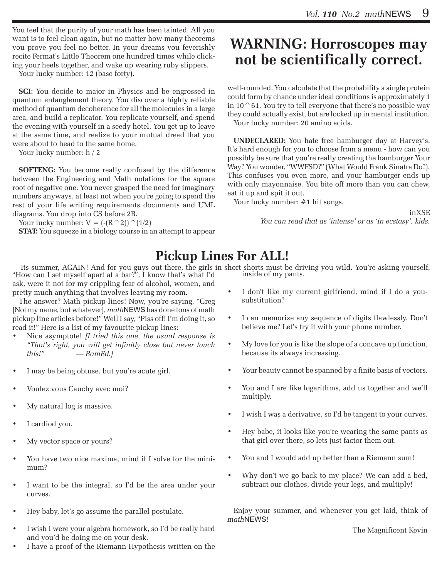You feel that the purity of your math has been tainted. All you want is to feel clean again, but no matter how many theorems you prove you feel no better. In your dreams you feverishly recite Fermat's Little Theorem one hundred times while clicking your heels together, and wake up wearing ruby slippers.

Your lucky number: 12 (base forty).

**SCI:** You decide to major in Physics and be engrossed in quantum entanglement theory. You discover a highly reliable method of quantum decoherence for all the molecules in a large area, and build a replicator. You replicate yourself, and spend the evening with yourself in a seedy hotel. You get up to leave at the same time, and realize to your mutual dread that you were about to head to the same home.

Your lucky number: h / 2

**SOFTENG:** You become really confused by the difference between the Engineering and Math notations for the square root of negative one. You never grasped the need for imaginary numbers anyways, at least not when you're going to spend the rest of your life writing requirements documents and UML diagrams. You drop into CS before 2B.

Your lucky number:  $V = (- (R^2))^{\wedge}(1/2)$ 

**STAT:** You squeeze in a biology course in an attempt to appear

### **WARNING: Horroscopes may not be scientifically correct.**

well-rounded. You calculate that the probability a single protein could form by chance under ideal conditions is approximately 1 in 10 $\degree$ 61. You try to tell everyone that there's no possible way they could actually exist, but are locked up in mental institution. Your lucky number: 20 amino acids.

**UNDECLARED:** You hate free hamburger day at Harvey's. It's hard enough for you to choose from a menu - how can you possibly be sure that you're really creating the hamburger Your Way? You wonder, "WWFSD?" (What Would Frank Sinatra Do?). This confuses you even more, and your hamburger ends up with only mayonnaise. You bite off more than you can chew, eat it up and spit it out.

Your lucky number: #1 hit songs.

inXSE

*You can read that as 'intense' or as 'in ecstasy', kids.*

### **Pickup Lines For ALL!**

Its summer, AGAIN! And for you guys out there, the girls in short shorts must be driving you wild. You're asking yourself, "How can I set myself apart at a bar?", I know that's what I'd inside of my pants.

ask, were it not for my crippling fear of alcohol, women, and pretty much anything that involves leaving my room.

The answer? Math pickup lines! Now, you're saying, "Greg [Not my name, but whatever], *math*NEWS has done tons of math pickup line articles before!" Well I say, "Piss off! I'm doing it, so read it!" Here is a list of my favourite pickup lines:

- Nice asymptote! *[I tried this one, the usual response is "That's right, you will get infinitly close but never touch this!" — RamEd.]*
- I may be being obtuse, but you're acute girl.
- Voulez vous Cauchy avec moi?
- My natural log is massive.
- I cardiod you.
- My vector space or yours?
- You have two nice maxima, mind if I solve for the minimum?
- I want to be the integral, so I'd be the area under your curves.
- Hey baby, let's go assume the parallel postulate.
- I wish I were your algebra homework, so I'd be really hard and you'd be doing me on your desk.
- I have a proof of the Riemann Hypothesis written on the
- I don't like my current girlfriend, mind if I do a yousubstitution?
- I can memorize any sequence of digits flawlessly. Don't believe me? Let's try it with your phone number.
- • My love for you is like the slope of a concave up function, because its always increasing.
- Your beauty cannot be spanned by a finite basis of vectors.
- You and I are like logarithms, add us together and we'll multiply.
- • I wish I was a derivative, so I'd be tangent to your curves.
- Hey babe, it looks like you're wearing the same pants as that girl over there, so lets just factor them out.
- You and I would add up better than a Riemann sum!
- Why don't we go back to my place? We can add a bed, subtract our clothes, divide your legs, and multiply!

Enjoy your summer, and whenever you get laid, think of *math*NEWS!

The Magnificent Kevin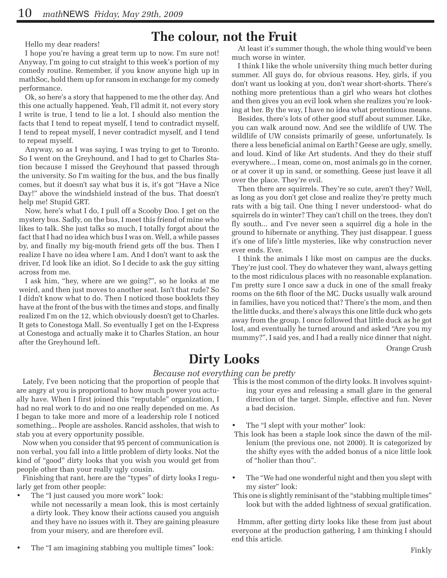## Hello my dear readers! **The colour, not the Fruit**

I hope you're having a great term up to now. I'm sure not! Anyway, I'm going to cut straight to this week's portion of my comedy routine. Remember, if you know anyone high up in mathSoc, hold them up for ransom in exchange for my comedy performance.

Ok, so here's a story that happened to me the other day. And this one actually happened. Yeah, I'll admit it, not every story I write is true, I tend to lie a lot. I should also mention the facts that I tend to repeat myself, I tend to contradict myself, I tend to repeat myself, I never contradict myself, and I tend to repeat myself.

Anyway, so as I was saying, I was trying to get to Toronto. So I went on the Greyhound, and I had to get to Charles Station because I missed the Greyhound that passed through the university. So I'm waiting for the bus, and the bus finally comes, but it doesn't say what bus it is, it's got "Have a Nice Day!" above the windshield instead of the bus. That doesn't help me! Stupid GRT.

Now, here's what I do, I pull off a Scooby Doo. I get on the mystery bus. Sadly, on the bus, I meet this friend of mine who likes to talk. She just talks so much, I totally forgot about the fact that I had no idea which bus I was on. Well, a while passes by, and finally my big-mouth friend gets off the bus. Then I realize I have no idea where I am. And I don't want to ask the driver, I'd look like an idiot. So I decide to ask the guy sitting across from me.

I ask him, "hey, where are we going?", so he looks at me weird, and then just moves to another seat. Isn't that rude? So I didn't know what to do. Then I noticed those booklets they have at the front of the bus with the times and stops, and finally realized I'm on the 12, which obviously doesn't get to Charles. It gets to Conestoga Mall. So eventually I get on the I-Express at Conestoga and actually make it to Charles Station, an hour after the Greyhound left.

At least it's summer though, the whole thing would've been much worse in winter.

I think I like the whole university thing much better during summer. All guys do, for obvious reasons. Hey, girls, if you don't want us looking at you, don't wear short-shorts. There's nothing more pretentious than a girl who wears hot clothes and then gives you an evil look when she realizes you're looking at her. By the way, I have no idea what pretentious means.

Besides, there's lots of other good stuff about summer. Like, you can walk around now. And see the wildlife of UW. The wildlife of UW consists primarily of geese, unfortunately. Is there a less beneficial animal on Earth? Geese are ugly, smelly, and loud. Kind of like Art students. And they do their stuff everywhere... I mean, come on, most animals go in the corner, or at cover it up in sand, or something. Geese just leave it all over the place. They're evil.

Then there are squirrels. They're so cute, aren't they? Well, as long as you don't get close and realize they're pretty much rats with a big tail. One thing I never understood- what do squirrels do in winter? They can't chill on the trees, they don't fly south... and I've never seen a squirrel dig a hole in the ground to hibernate or anything. They just disappear. I guess it's one of life's little mysteries, like why construction never ever ends. Ever.

I think the animals I like most on campus are the ducks. They're just cool. They do whatever they want, always getting to the most ridiculous places with no reasonable explanation. I'm pretty sure I once saw a duck in one of the small freaky rooms on the 6th floor of the MC. Ducks usually walk around in families, have you noticed that? There's the mom, and then the little ducks, and there's always this one little duck who gets away from the group. I once followed that little duck as he got lost, and eventually he turned around and asked "Are you my mummy?", I said yes, and I had a really nice dinner that night.

Orange Crush

### **Dirty Looks**

#### *Because not everything can be pretty*

Lately, I've been noticing that the proportion of people that are angry at you is proportional to how much power you actually have. When I first joined this "reputable" organization, I had no real work to do and no one really depended on me. As I began to take more and more of a leadership role I noticed something... People are assholes. Rancid assholes, that wish to stab you at every opportunity possible.

Now when you consider that 95 percent of communication is non verbal, you fall into a little problem of dirty looks. Not the kind of "good" dirty looks that you wish you would get from people other than your really ugly cousin.

Finishing that rant, here are the "types" of dirty looks I regularly get from other people:

The "I just caused you more work" look:

- while not necessarily a mean look, this is most certainly a dirty look. They know their actions caused you anguish and they have no issues with it. They are gaining pleasure from your misery, and are therefore evil.
- The "I am imagining stabbing you multiple times" look:
- This is the most common of the dirty looks. It involves squinting your eyes and releasing a small glare in the general direction of the target. Simple, effective and fun. Never a bad decision.
- The "I slept with your mother" look:
- This look has been a staple look since the dawn of the millenium (the previous one, not 2000). It is categorized by the shifty eyes with the added bonus of a nice little look of "holier than thou".
- The "We had one wonderful night and then you slept with my sister" look:
- This one is slightly reminisant of the "stabbing multiple times" look but with the added lightness of sexual gratification.

Hmmm, after getting dirty looks like these from just about everyone at the production gathering, I am thinking I should end this article.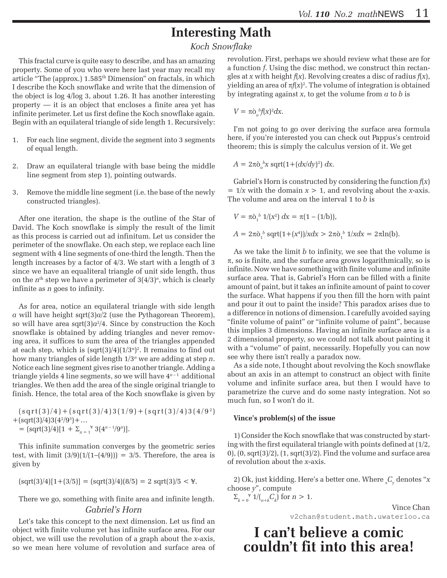### **Interesting Math**

*Koch Snowflake*

This fractal curve is quite easy to describe, and has an amazing property. Some of you who were here last year may recall my article "The (approx.) 1.585<sup>th</sup> Dimension" on fractals, in which I describe the Koch snowflake and write that the dimension of the object is log 4/log 3, about 1.26. It has another interesting property — it is an object that encloses a finite area yet has infinite perimeter. Let us first define the Koch snowflake again. Begin with an equilateral triangle of side length 1. Recursively:

- 1. For each line segment, divide the segment into 3 segments of equal length.
- 2. Draw an equilateral triangle with base being the middle line segment from step 1), pointing outwards.
- 3. Remove the middle line segment (i.e. the base of the newly constructed triangles).

After one iteration, the shape is the outline of the Star of David. The Koch snowflake is simply the result of the limit as this process is carried out ad infinitum. Let us consider the perimeter of the snowflake. On each step, we replace each line segment with 4 line segments of one-third the length. Then the length increases by a factor of 4/3. We start with a length of 3 since we have an equaliteral triangle of unit side length, thus on the  $n<sup>th</sup>$  step we have a perimeter of  $3(4/3)<sup>n</sup>$ , which is clearly infinite as *n* goes to infinity.

As for area, notice an equilateral triangle with side length *a* will have height sqrt(3)*a*/2 (use the Pythagorean Theorem), so will have area  $sqrt(3)a^2/4$ . Since by construction the Koch snowflake is obtained by adding triangles and never removing area, it suffices to sum the area of the triangles appended at each step, which is  $(sqrt(3)/4)(1/3<sup>n</sup>)<sup>2</sup>$ . It remains to find out how many triangles of side length 1/3*<sup>n</sup>* we are adding at step *n*. Notice each line segment gives rise to another triangle. Adding a triangle yields  $4$  line segments, so we will have  $4^{n-1}$  additional triangles. We then add the area of the single original triangle to finish. Hence, the total area of the Koch snowflake is given by

 $(sqrt(3)/4) + (sqrt(3)/4)3(1/9) + (sqrt(3)/4)3(4/9^2)$  $+(sqrt(3)/4)3(4^2/9^3)+...$  $=$   $\left[\frac{\text{sqrt}(3)}{4}\right]\left[1 + \sum_{n=1}^{8} 3\left(4^{n-1}/9^{n}\right)\right].$ 

This infinite summation converges by the geometric series test, with limit  $(3/9)(1/(1-(4/9))) = 3/5$ . Therefore, the area is given by

$$
(\text{sqrt}(3)/4)[1 + (3/5)] = (\text{sqrt}(3)/4)(8/5) = 2 \text{sqrt}(3)/5 < \text{F}.
$$

There we go, something with finite area and infinite length.

#### *Gabriel's Horn*

Let's take this concept to the next dimension. Let us find an object with finite volume yet has infinite surface area. For our object, we will use the revolution of a graph about the *x*-axis, so we mean here volume of revolution and surface area of revolution. First, perhaps we should review what these are for a function *f*. Using the disc method, we construct thin rectangles at *x* with height *f*(*x*). Revolving creates a disc of radius *f*(*x*), yielding an area of  $\pi f(x)^2$ . The volume of integration is obtained by integrating against *x*, to get the volume from *a* to *b* is

$$
V = \pi \dot{\mathrm{o}}_a{}^b f(x)^2 dx.
$$

I'm not going to go over deriving the surface area formula here, if you're interested you can check out Pappus's centroid theorem; this is simply the calculus version of it. We get

 $A = 2\pi\delta_a^b x \text{ sqrt}(1 + (dx/dy)^2) dx.$ 

Gabriel's Horn is constructed by considering the function *f*(*x*)  $= 1/x$  with the domain  $x > 1$ , and revolving about the *x*-axis. The volume and area on the interval 1 to *b* is

$$
V = \pi \tilde{\rho}_1^b 1/(x^2) dx = \pi (1 - (1/b)),
$$
  
 
$$
A = 2\pi \tilde{\rho}_1^b \operatorname{sqrt}(1 + (x^4))/x dx > 2\pi \tilde{\rho}_1^b 1/x dx = 2\pi \ln(b).
$$

As we take the limit *b* to infinity, we see that the volume is  $\pi$ , so is finite, and the surface area grows logarithmically, so is infinite. Now we have something with finite volume and infinite surface area. That is, Gabriel's Horn can be filled with a finite amount of paint, but it takes an infinite amount of paint to cover the surface. What happens if you then fill the horn with paint and pour it out to paint the inside? This paradox arises due to a difference in notions of dimension. I carefully avoided saying "finite volume of paint" or "infinite volume of paint", because this implies 3 dimensions. Having an infinite surface area is a 2 dimensional property, so we could not talk about painting it with a "volume" of paint, necessarily. Hopefully you can now see why there isn't really a paradox now.

As a side note, I thought about revolving the Koch snowflake about an axis in an attempt to construct an object with finite volume and infinite surface area, but then I would have to parametrize the curve and do some nasty integration. Not so much fun, so I won't do it.

#### **Vince's problem(s) of the issue**

1) Consider the Koch snowflake that was constructed by starting with the first equilateral triangle with points defined at (1/2,  $(0)$ ,  $(0, \sqrt{97})$ ,  $(1, \sqrt{97})$ ,  $(1, \sqrt{97})$ . Find the volume and surface area of revolution about the *x*-axis.

2) Ok, just kidding. Here's a better one. Where *<sup>x</sup> Cy* denotes "*x* choose *y*", compute

 $\sum_{k=0}^{\infty} 1/(n+k)C_k$  for  $n > 1$ .

Vince Chan v2chan@student.math.uwaterloo.ca

**I can't believe a comic couldn't fit into this area!**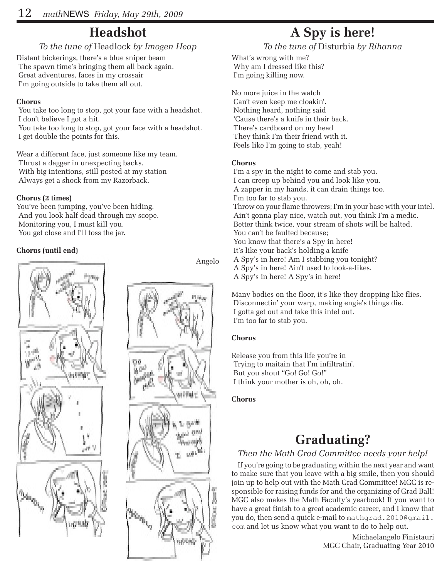### **Headshot**

### *To the tune of* Headlock *by Imogen Heap*

Distant bickerings, there's a blue sniper beam The spawn time's bringing them all back again. Great adventures, faces in my crossair I'm going outside to take them all out.

#### **Chorus**

 You take too long to stop, got your face with a headshot. I don't believe I got a hit.

 You take too long to stop, got your face with a headshot. I get double the points for this.

Wear a different face, just someone like my team. Thrust a dagger in unexpecting backs. With big intentions, still posted at my station Always get a shock from my Razorback.

#### **Chorus (2 times)**

You've been jumping, you've been hiding. And you look half dead through my scope. Monitoring you, I must kill you. You get close and I'll toss the jar.

#### **Chorus (until end)**



Angelo



### **A Spy is here!**

*To the tune of* Disturbia *by Rihanna*

What's wrong with me? Why am I dressed like this? I'm going killing now.

No more juice in the watch Can't even keep me cloakin'. Nothing heard, nothing said 'Cause there's a knife in their back. There's cardboard on my head They think I'm their friend with it. Feels like I'm going to stab, yeah!

#### **Chorus**

 I'm a spy in the night to come and stab you. I can creep up behind you and look like you. A zapper in my hands, it can drain things too. I'm too far to stab you. Throw on your flame throwers; I'm in your base with your intel. Ain't gonna play nice, watch out, you think I'm a medic. Better think twice, your stream of shots will be halted. You can't be faulted because; You know that there's a Spy in here! It's like your back's holding a knife A Spy's in here! Am I stabbing you tonight? A Spy's in here! Ain't used to look-a-likes. A Spy's in here! A Spy's in here!

Many bodies on the floor, it's like they dropping like flies. Disconnectin' your warp, making engie's things die. I gotta get out and take this intel out. I'm too far to stab you.

#### **Chorus**

Release you from this life you're in Trying to maitain that I'm infiltratin'. But you shout "Go! Go! Go!" I think your mother is oh, oh, oh.

#### **Chorus**

### **Graduating?**

### *Then the Math Grad Committee needs your help!*

If you're going to be graduating within the next year and want to make sure that you leave with a big smile, then you should join up to help out with the Math Grad Committee! MGC is responsible for raising funds for and the organizing of Grad Ball! MGC also makes the Math Faculty's yearbook! If you want to have a great finish to a great academic career, and I know that you do, then send a quick e-mail to mathgrad.2010@gmail. com and let us know what you want to do to help out.

> Michaelangelo Finistauri MGC Chair, Graduating Year 2010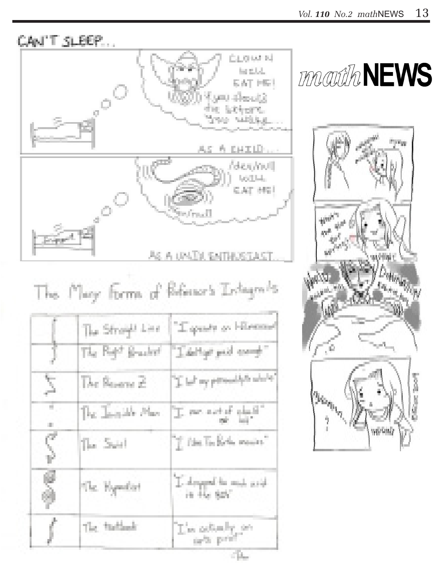**MACILIA NEWS** 

CAN'T SLEEP...



AS A UNITAL ENTHUSTAST

# The Mary forms of Reference's Indiagrades

| ĵ       | The Straight Line<br>The Right Bracket | "I quality on Hillmann"<br>"Labitat publ comp"                                                                                                                             |
|---------|----------------------------------------|----------------------------------------------------------------------------------------------------------------------------------------------------------------------------|
| Σ       | The Reverse 2                          | The my provides while                                                                                                                                                      |
| τ<br>Đ, | The Jamille Mar-                       |                                                                                                                                                                            |
| ς       | The Suit                               | $\gamma$ (the TacKerbs means)                                                                                                                                              |
| ę<br>Ŵ  | The Hypothit                           | $\begin{array}{l} \sum\limits_{i\in\mathbb{N}}d_{\text{cusp}}\text{mod}\ \text{for}\ \text{mod}\ \text{mod}\ \text{d} \\ \text{in}\ \text{Hom}\ \text{Set} \\ \end{array}$ |
|         | The findingle                          | L'en celturaleg per                                                                                                                                                        |



**Cities**